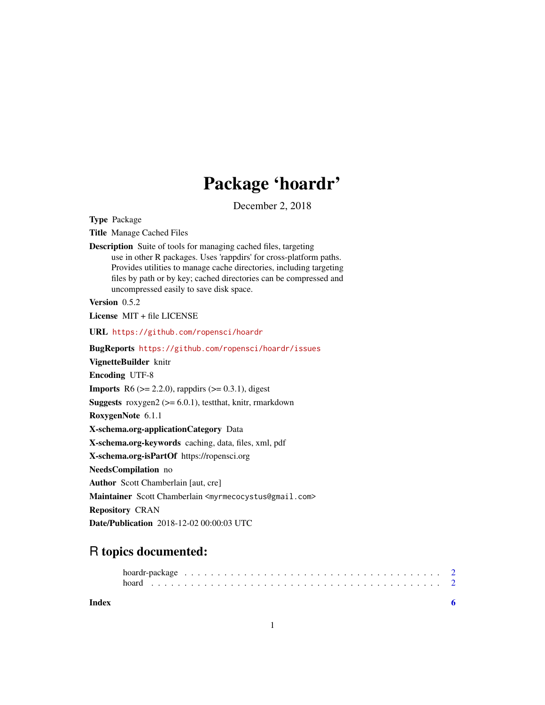# Package 'hoardr'

December 2, 2018

<span id="page-0-0"></span>

| <b>Type Package</b>                                                                                                                                                                                                                                                                                                                 |
|-------------------------------------------------------------------------------------------------------------------------------------------------------------------------------------------------------------------------------------------------------------------------------------------------------------------------------------|
| <b>Title Manage Cached Files</b>                                                                                                                                                                                                                                                                                                    |
| <b>Description</b> Suite of tools for managing cached files, targeting<br>use in other R packages. Uses 'rappdirs' for cross-platform paths.<br>Provides utilities to manage cache directories, including targeting<br>files by path or by key; cached directories can be compressed and<br>uncompressed easily to save disk space. |
| Version 0.5.2                                                                                                                                                                                                                                                                                                                       |
| License MIT + file LICENSE                                                                                                                                                                                                                                                                                                          |
| URL https://github.com/ropensci/hoardr                                                                                                                                                                                                                                                                                              |
| BugReports https://github.com/ropensci/hoardr/issues                                                                                                                                                                                                                                                                                |
| VignetteBuilder knitr                                                                                                                                                                                                                                                                                                               |
| <b>Encoding UTF-8</b>                                                                                                                                                                                                                                                                                                               |
| <b>Imports</b> R6 ( $>= 2.2.0$ ), rappdirs ( $>= 0.3.1$ ), digest                                                                                                                                                                                                                                                                   |
| <b>Suggests</b> roxygen2 ( $>= 6.0.1$ ), test that, knitr, rmarkdown                                                                                                                                                                                                                                                                |
| RoxygenNote 6.1.1                                                                                                                                                                                                                                                                                                                   |
| X-schema.org-applicationCategory Data                                                                                                                                                                                                                                                                                               |
| X-schema.org-keywords caching, data, files, xml, pdf                                                                                                                                                                                                                                                                                |
| X-schema.org-isPartOf https://ropensci.org                                                                                                                                                                                                                                                                                          |
| NeedsCompilation no                                                                                                                                                                                                                                                                                                                 |
| <b>Author</b> Scott Chamberlain [aut, cre]                                                                                                                                                                                                                                                                                          |
| Maintainer Scott Chamberlain <myrmecocystus@gmail.com></myrmecocystus@gmail.com>                                                                                                                                                                                                                                                    |
| <b>Repository CRAN</b>                                                                                                                                                                                                                                                                                                              |
| Date/Publication 2018-12-02 00:00:03 UTC                                                                                                                                                                                                                                                                                            |

# R topics documented:

**Index** [6](#page-5-0) **6**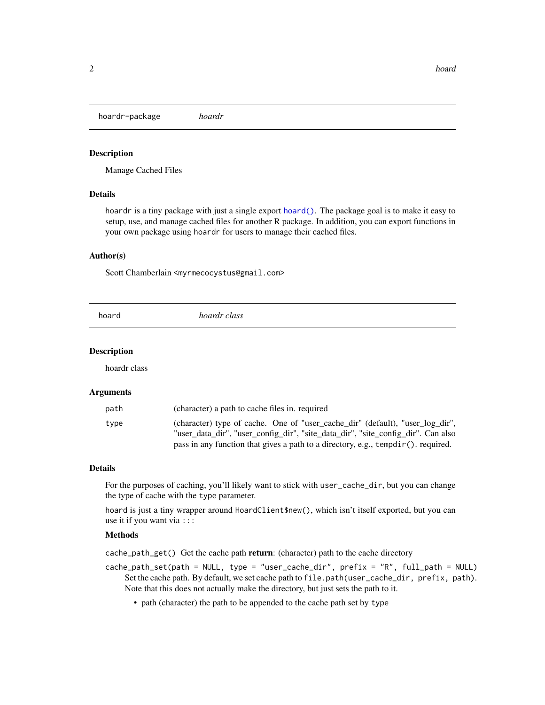<span id="page-1-0"></span>hoardr-package *hoardr*

#### Description

Manage Cached Files

## Details

hoardr is a tiny package with just a single export [hoard\(\)](#page-1-1). The package goal is to make it easy to setup, use, and manage cached files for another R package. In addition, you can export functions in your own package using hoardr for users to manage their cached files.

#### Author(s)

Scott Chamberlain <myrmecocystus@gmail.com>

<span id="page-1-1"></span>

|  | hoard | hoardr class |  |
|--|-------|--------------|--|
|--|-------|--------------|--|

# Description

hoardr class

#### Arguments

| path | (character) a path to cache files in. required                                                                                                                    |
|------|-------------------------------------------------------------------------------------------------------------------------------------------------------------------|
| type | (character) type of cache. One of "user cache dir" (default), "user log dir",<br>"user data dir", "user config dir", "site data dir", "site config dir". Can also |
|      | pass in any function that gives a path to a directory, e.g., $\text{template}()$ . required.                                                                      |

### Details

For the purposes of caching, you'll likely want to stick with user\_cache\_dir, but you can change the type of cache with the type parameter.

hoard is just a tiny wrapper around HoardClient\$new(), which isn't itself exported, but you can use it if you want via :::

#### Methods

cache\_path\_get() Get the cache path return: (character) path to the cache directory

- cache\_path\_set(path = NULL, type = "user\_cache\_dir", prefix = "R", full\_path = NULL) Set the cache path. By default, we set cache path to file.path(user\_cache\_dir, prefix, path). Note that this does not actually make the directory, but just sets the path to it.
	- path (character) the path to be appended to the cache path set by type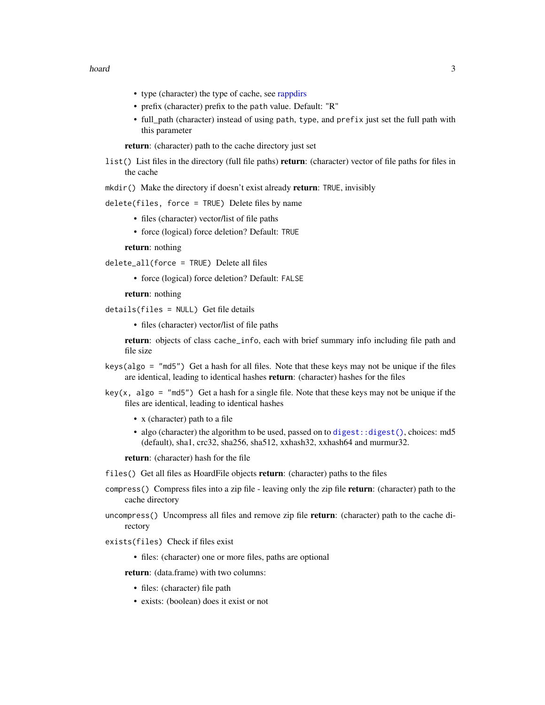#### <span id="page-2-0"></span>hoard 3

- type (character) the type of cache, see [rappdirs](#page-0-0)
- prefix (character) prefix to the path value. Default: "R"
- full\_path (character) instead of using path, type, and prefix just set the full path with this parameter

return: (character) path to the cache directory just set

list() List files in the directory (full file paths) return: (character) vector of file paths for files in the cache

mkdir() Make the directory if doesn't exist already return: TRUE, invisibly

delete(files, force = TRUE) Delete files by name

- files (character) vector/list of file paths
- force (logical) force deletion? Default: TRUE

return: nothing

delete\_all(force = TRUE) Delete all files

• force (logical) force deletion? Default: FALSE

return: nothing

details(files = NULL) Get file details

• files (character) vector/list of file paths

return: objects of class cache\_info, each with brief summary info including file path and file size

- keys(algo = "md5") Get a hash for all files. Note that these keys may not be unique if the files are identical, leading to identical hashes return: (character) hashes for the files
- key(x, algo = "md5") Get a hash for a single file. Note that these keys may not be unique if the files are identical, leading to identical hashes
	- x (character) path to a file
	- algo (character) the algorithm to be used, passed on to digest: : digest(), choices: md5 (default), sha1, crc32, sha256, sha512, xxhash32, xxhash64 and murmur32.

return: (character) hash for the file

files() Get all files as HoardFile objects return: (character) paths to the files

- compress() Compress files into a zip file leaving only the zip file return: (character) path to the cache directory
- uncompress() Uncompress all files and remove zip file return: (character) path to the cache directory

exists(files) Check if files exist

• files: (character) one or more files, paths are optional

return: (data.frame) with two columns:

- files: (character) file path
- exists: (boolean) does it exist or not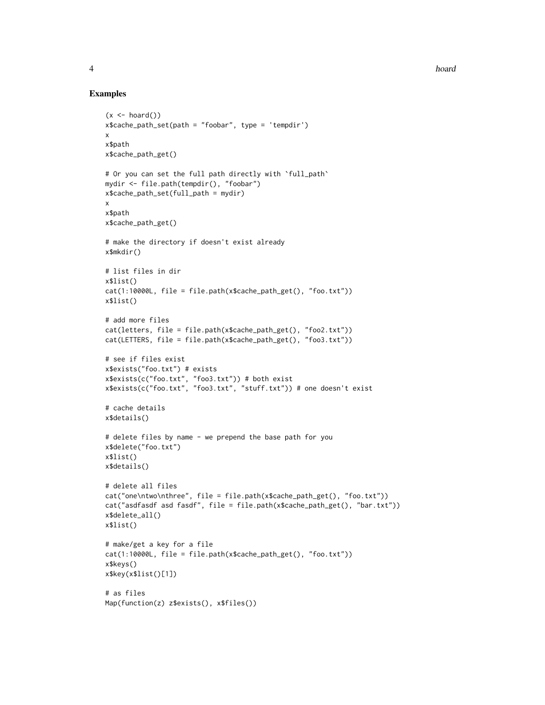4 hoard and the set of the set of the set of the set of the set of the set of the set of the set of the set of the set of the set of the set of the set of the set of the set of the set of the set of the set of the set of t

### Examples

```
(x \leq - \text{hoard}())x$cache_path_set(path = "foobar", type = 'tempdir')
x
x$path
x$cache_path_get()
# Or you can set the full path directly with `full_path`
mydir <- file.path(tempdir(), "foobar")
x$cache_path_set(full_path = mydir)
x
x$path
x$cache_path_get()
# make the directory if doesn't exist already
x$mkdir()
# list files in dir
x$list()
cat(1:10000L, file = file.path(x$cache_path_get(), "foo.txt"))
x$list()
# add more files
cat(letters, file = file.path(x$cache_path_get(), "foo2.txt"))
cat(LETTERS, file = file.path(x$cache_path_get(), "foo3.txt"))
# see if files exist
x$exists("foo.txt") # exists
x$exists(c("foo.txt", "foo3.txt")) # both exist
x$exists(c("foo.txt", "foo3.txt", "stuff.txt")) # one doesn't exist
# cache details
x$details()
# delete files by name - we prepend the base path for you
x$delete("foo.txt")
x$list()
x$details()
# delete all files
cat("one\ntwo\nthree", file = file.path(x$cache_path_get(), "foo.txt"))
cat("asdfasdf asd fasdf", file = file.path(x$cache_path_get(), "bar.txt"))
x$delete_all()
x$list()
# make/get a key for a file
cat(1:10000L, file = file.path(x$cache_path_get(), "foo.txt"))
x$keys()
x$key(x$list()[1])
# as files
Map(function(z) z$exists(), x$files())
```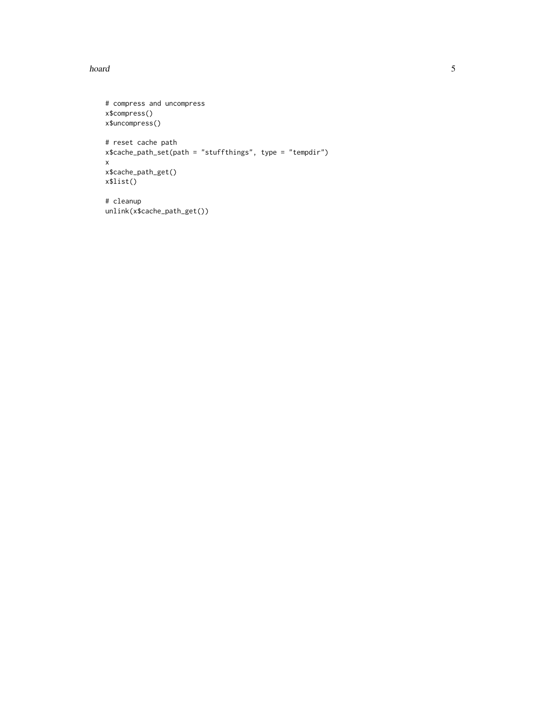hoard 5 and 5 and 5 and 5 and 5 and 5 and 5 and 5 and 5 and 5 and 5 and 5 and 5 and 5 and 5 and 5 and 5 and 5 and 5 and 5 and 5 and 5 and 5 and 5 and 5 and 5 and 5 and 5 and 5 and 5 and 5 and 5 and 5 and 5 and 5 and 5 and

```
# compress and uncompress
x$compress()
x$uncompress()
# reset cache path
x$cache_path_set(path = "stuffthings", type = "tempdir")
x
x$cache_path_get()
x$list()
# cleanup
unlink(x$cache_path_get())
```